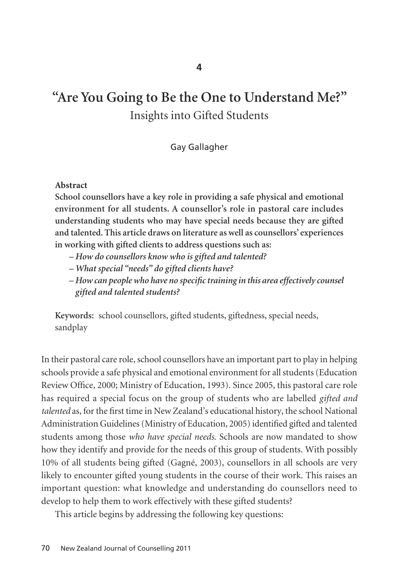# **"Are You Going to Be the One to Understand Me?"**  Insights into Gifted Students

Gay Gallagher

#### **Abstract**

**School counsellors have a key role in providing a safe physical and emotional environment for all students. A counsellor's role in pastoral care includes understanding students who may have special needs because they are gifted and talented. This article draws on literature as well as counsellors' experiences in working with gifted clients to address questions such as:** 

- *How do counsellors know who is gifted and talented?*
- *What special "needs" do gifted clients have?*
- *How can people who have no specific training in this area effectively counsel gifted and talented students?*

**Keywords:** school counsellors, gifted students, giftedness, special needs, sandplay

In their pastoral care role, school counsellors have an important part to play in helping schools provide a safe physical and emotional environment for all students (Education Review Office, 2000; Ministry of Education, 1993). Since 2005, this pastoral care role has required a special focus on the group of students who are labelled *gifted and talented* as, for the first time in New Zealand's educational history, the school National Administration Guidelines (Ministry of Education, 2005) identified gifted and talented students among those *who have special needs*. Schools are now mandated to show how they identify and provide for the needs of this group of students. With possibly 10% of all students being gifted (Gagné, 2003), counsellors in all schools are very likely to encounter gifted young students in the course of their work. This raises an important question: what knowledge and understanding do counsellors need to develop to help them to work effectively with these gifted students?

This article begins by addressing the following key questions: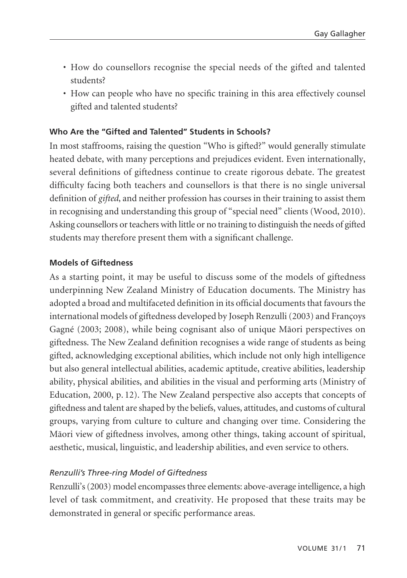- How do counsellors recognise the special needs of the gifted and talented students?
- How can people who have no specific training in this area effectively counsel gifted and talented students?

## **Who Are the "Gifted and Talented" Students in Schools?**

In most staffrooms, raising the question "Who is gifted?" would generally stimulate heated debate, with many perceptions and prejudices evident. Even internationally, several definitions of giftedness continue to create rigorous debate. The greatest difficulty facing both teachers and counsellors is that there is no single universal definition of *gifted*, and neither profession has courses in their training to assist them in recognising and understanding this group of "special need" clients (Wood, 2010). Asking counsellors or teachers with little or no training to distinguish the needs of gifted students may therefore present them with a significant challenge.

## **Models of Giftedness**

As a starting point, it may be useful to discuss some of the models of giftedness underpinning New Zealand Ministry of Education documents. The Ministry has adopted a broad and multifaceted definition in its official documents that favours the international models of giftedness developed by Joseph Renzulli (2003) and Françoys Gagné (2003; 2008), while being cognisant also of unique Mäori perspectives on giftedness. The New Zealand definition recognises a wide range of students as being gifted, acknowledging exceptional abilities, which include not only high intelligence but also general intellectual abilities, academic aptitude, creative abilities, leadership ability, physical abilities, and abilities in the visual and performing arts (Ministry of Education, 2000, p. 12). The New Zealand perspective also accepts that concepts of giftedness and talent are shaped by the beliefs, values, attitudes, and customs of cultural groups, varying from culture to culture and changing over time. Considering the Mäori view of giftedness involves, among other things, taking account of spiritual, aesthetic, musical, linguistic, and leadership abilities, and even service to others.

#### *Renzulli's Three-ring Model of Giftedness*

Renzulli's (2003) model encompasses three elements: above-average intelligence, a high level of task commitment, and creativity. He proposed that these traits may be demonstrated in general or specific performance areas.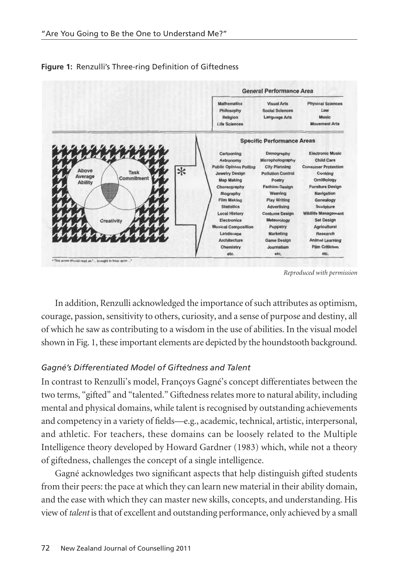

**Figure 1:** Renzulli's Three-ring Definition of Giftedness

*Reproduced with permission*

In addition, Renzulli acknowledged the importance of such attributes as optimism, courage, passion, sensitivity to others, curiosity, and a sense of purpose and destiny, all of which he saw as contributing to a wisdom in the use of abilities. In the visual model shown in Fig. 1, these important elements are depicted by the houndstooth background.

## *Gagné's Differentiated Model of Giftedness and Talent*

In contrast to Renzulli's model, Françoys Gagné's concept differentiates between the two terms, "gifted" and "talented." Giftedness relates more to natural ability, including mental and physical domains, while talent is recognised by outstanding achievements and competency in a variety of fields—e.g., academic, technical, artistic, interpersonal, and athletic. For teachers, these domains can be loosely related to the Multiple Intelligence theory developed by Howard Gardner (1983) which, while not a theory of giftedness, challenges the concept of a single intelligence.

Gagné acknowledges two significant aspects that help distinguish gifted students from their peers: the pace at which they can learn new material in their ability domain, and the ease with which they can master new skills, concepts, and understanding. His view of *talent* is that of excellent and outstanding performance, only achieved by a small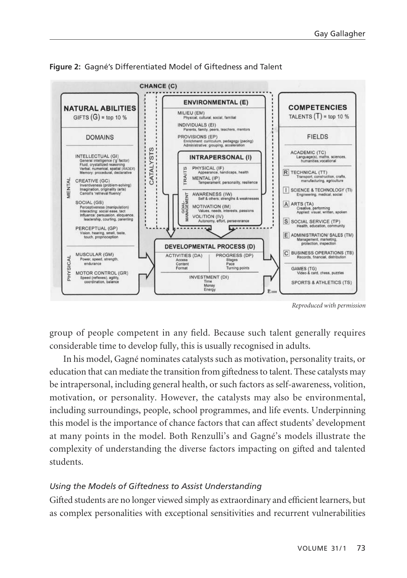

**Figure 2:** Gagné's Differentiated Model of Giftedness and Talent

*Reproduced with permission*

group of people competent in any field. Because such talent generally requires considerable time to develop fully, this is usually recognised in adults.

In his model, Gagné nominates catalysts such as motivation, personality traits, or education that can mediate the transition from giftedness to talent. These catalysts may be intrapersonal, including general health, or such factors as self-awareness, volition, motivation, or personality. However, the catalysts may also be environmental, including surroundings, people, school programmes, and life events. Under pinning this model is the importance of chance factors that can affect students' development at many points in the model. Both Renzulli's and Gagné's models illustrate the complexity of understanding the diverse factors impacting on gifted and talented students.

## *Using the Models of Giftedness to Assist Understanding*

Gifted students are no longer viewed simply as extraordinary and efficient learners, but as complex personalities with exceptional sensitivities and recurrent vulnerabilities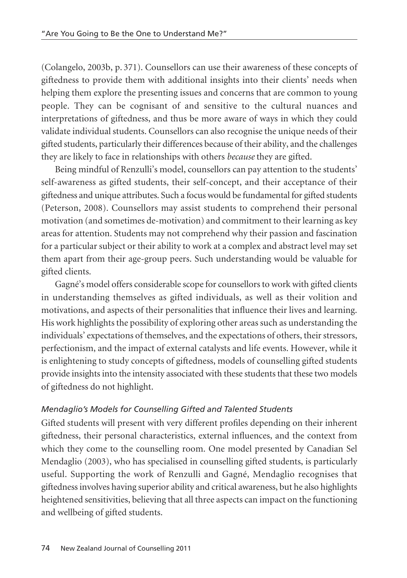(Colangelo, 2003b, p. 371). Counsellors can use their awareness of these concepts of giftedness to provide them with additional insights into their clients' needs when helping them explore the presenting issues and concerns that are common to young people. They can be cognisant of and sensitive to the cultural nuances and interpretations of giftedness, and thus be more aware of ways in which they could validate individual students. Counsellors can also recognise the unique needs of their gifted students, particularly their differences because of their ability, and the challenges they are likely to face in relationships with others *because* they are gifted.

Being mindful of Renzulli's model, counsellors can pay attention to the students' self-awareness as gifted students, their self-concept, and their acceptance of their giftedness and unique attributes. Such a focus would be fundamental for gifted students (Peterson, 2008). Counsellors may assist students to comprehend their personal motivation (and sometimes de-motivation) and commitment to their learning as key areas for attention. Students may not comprehend why their passion and fascination for a particular subject or their ability to work at a complex and abstract level may set them apart from their age-group peers. Such understanding would be valuable for gifted clients.

Gagné's model offers considerable scope for counsellors to work with gifted clients in understanding themselves as gifted individuals, as well as their volition and motivations, and aspects of their personalities that influence their lives and learning. His work highlights the possibility of exploring other areas such as understanding the individuals' expectations of themselves, and the expectations of others, their stressors, perfectionism, and the impact of external catalysts and life events. However, while it is enlightening to study concepts of giftedness, models of counselling gifted students provide insights into the intensity associated with these students that these two models of giftedness do not highlight.

## *Mendaglio's Models for Counselling Gifted and Talented Students*

Gifted students will present with very different profiles depending on their inherent giftedness, their personal characteristics, external influences, and the context from which they come to the counselling room. One model presented by Canadian Sel Mendaglio (2003), who has specialised in counselling gifted students, is particularly useful. Supporting the work of Renzulli and Gagné, Mendaglio recognises that giftedness involves having superior ability and critical awareness, but he also highlights heightened sensitivities, believing that all three aspects can impact on the functioning and wellbeing of gifted students.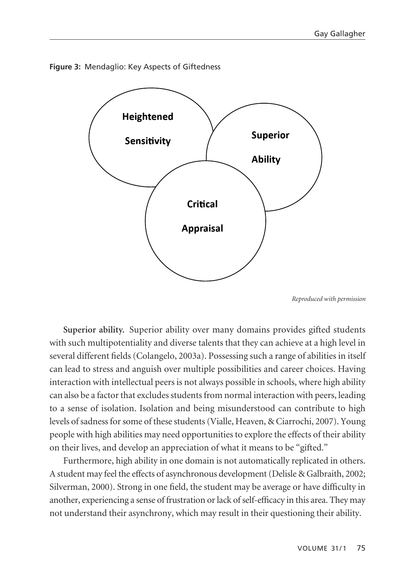



*Reproduced with permission*

**Superior ability.** Superior ability over many domains provides gifted students with such multipotentiality and diverse talents that they can achieve at a high level in several different fields (Colangelo, 2003a). Possessing such a range of abilities in itself can lead to stress and anguish over multiple possibilities and career choices. Having interaction with intellectual peers is not always possible in schools, where high ability can also be a factor that excludes students from normal interaction with peers, leading to a sense of isolation. Isolation and being misunderstood can contribute to high levels of sadness for some of these students (Vialle, Heaven, & Ciarrochi, 2007). Young people with high abilities may need opportunities to explore the effects of their ability on their lives, and develop an appreciation of what it means to be "gifted."

Furthermore, high ability in one domain is not automatically replicated in others. A student may feel the effects of asynchronous development (Delisle & Galbraith, 2002; Silverman, 2000). Strong in one field, the student may be average or have difficulty in another, experiencing a sense of frustration or lack of self-efficacy in this area. They may not understand their asynchrony, which may result in their questioning their ability.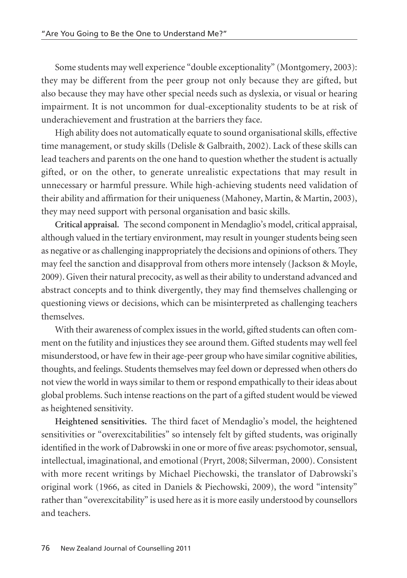Some students may well experience "double exceptionality" (Montgomery, 2003): they may be different from the peer group not only because they are gifted, but also because they may have other special needs such as dyslexia, or visual or hearing impairment. It is not uncommon for dual-exceptionality students to be at risk of underachievement and frustration at the barriers they face.

High ability does not automatically equate to sound organisational skills, effective time management, or study skills (Delisle & Galbraith, 2002). Lack of these skills can lead teachers and parents on the one hand to question whether the student is actually gifted, or on the other, to generate unrealistic expectations that may result in unnecessary or harmful pressure. While high-achieving students need validation of their ability and affirmation for their uniqueness (Mahoney, Martin, & Martin, 2003), they may need support with personal organisation and basic skills.

**Critical appraisal.** The second component in Mendaglio's model, critical appraisal, although valued in the tertiary environment, may result in younger students being seen as negative or as challenging inappropriately the decisions and opinions of others. They may feel the sanction and disapproval from others more intensely (Jackson & Moyle, 2009). Given their natural precocity, as well as their ability to understand advanced and abstract concepts and to think divergently, they may find themselves challenging or questioning views or decisions, which can be misinterpreted as challenging teachers themselves.

With their awareness of complex issues in the world, gifted students can often comment on the futility and injustices they see around them. Gifted students may well feel misunderstood, or have few in their age-peer group who have similar cognitive abilities, thoughts, and feelings. Students themselves may feel down or depressed when others do not view the world in ways similar to them or respond empathically to their ideas about global problems. Such intense reactions on the part of a gifted student would be viewed as heightened sensitivity.

**Heightened sensitivities.** The third facet of Mendaglio's model, the heightened sensitivities or "overexcitabilities" so intensely felt by gifted students, was originally identified in the work of Dabrowski in one or more of five areas: psychomotor, sensual, intellectual, imaginational, and emotional (Pryrt, 2008; Silverman, 2000). Consistent with more recent writings by Michael Piechowski, the translator of Dabrowski's original work (1966, as cited in Daniels & Piechowski, 2009), the word "intensity" rather than "overexcitability" is used here as it is more easily understood by counsellors and teachers.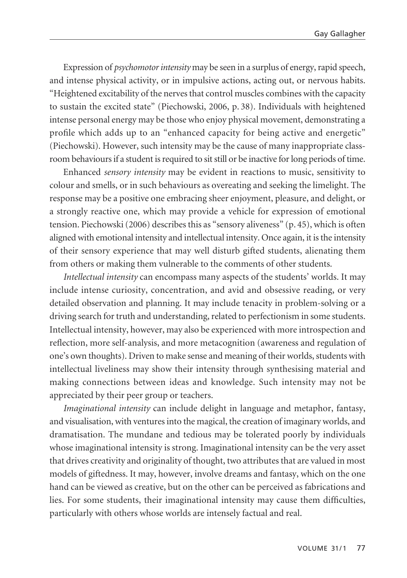Expression of *psychomotor intensity* may be seen in a surplus of energy, rapid speech, and intense physical activity, or in impulsive actions, acting out, or nervous habits. "Heightened excitability of the nerves that control muscles combines with the capacity to sustain the excited state" (Piechowski, 2006, p. 38). Individuals with heightened intense personal energy may be those who enjoy physical movement, demonstrating a profile which adds up to an "enhanced capacity for being active and energetic" (Piechowski). However, such intensity may be the cause of many inappropriate classroom behaviours if a student is required to sit still or be inactive for long periods of time.

Enhanced *sensory intensity* may be evident in reactions to music, sensitivity to colour and smells, or in such behaviours as overeating and seeking the limelight. The response may be a positive one embracing sheer enjoyment, pleasure, and delight, or a strongly reactive one, which may provide a vehicle for expression of emotional tension. Piechowski (2006) describes this as "sensory aliveness" (p. 45), which is often aligned with emotional intensity and intellectual intensity. Once again, it is the intensity of their sensory experience that may well disturb gifted students, alienating them from others or making them vulnerable to the comments of other students.

*Intellectual intensity* can encompass many aspects of the students' worlds. It may include intense curiosity, concentration, and avid and obsessive reading, or very detailed observation and planning. It may include tenacity in problem-solving or a driving search for truth and understanding, related to perfectionism in some students. Intellectual intensity, however, may also be experienced with more introspection and reflection, more self-analysis, and more metacognition (awareness and regulation of one's own thoughts). Driven to make sense and meaning of their worlds, students with intellectual liveliness may show their intensity through synthesising material and making connections between ideas and knowledge. Such intensity may not be appreciated by their peer group or teachers.

*Imaginational intensity* can include delight in language and metaphor, fantasy, and visualisation, with ventures into the magical, the creation of imaginary worlds, and dramatisation. The mundane and tedious may be tolerated poorly by individuals whose imaginational intensity is strong. Imaginational intensity can be the very asset that drives creativity and originality of thought, two attributes that are valued in most models of giftedness. It may, however, involve dreams and fantasy, which on the one hand can be viewed as creative, but on the other can be perceived as fabrications and lies. For some students, their imaginational intensity may cause them difficulties, particularly with others whose worlds are intensely factual and real.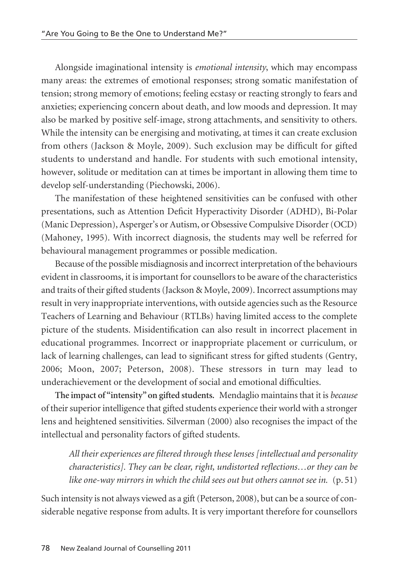Alongside imaginational intensity is *emotional intensity*, which may encompass many areas: the extremes of emotional responses; strong somatic manifestation of tension; strong memory of emotions; feeling ecstasy or reacting strongly to fears and anxieties; experiencing concern about death, and low moods and depression. It may also be marked by positive self-image, strong attachments, and sensitivity to others. While the intensity can be energising and motivating, at times it can create exclusion from others (Jackson & Moyle, 2009). Such exclusion may be difficult for gifted students to understand and handle. For students with such emotional intensity, however, solitude or meditation can at times be important in allowing them time to develop self-understanding (Piechowski, 2006).

The manifestation of these heightened sensitivities can be confused with other presentations, such as Attention Deficit Hyperactivity Disorder (ADHD), Bi-Polar (Manic Depression), Asperger's or Autism, or Obsessive Compulsive Disorder (OCD) (Mahoney, 1995). With incorrect diagnosis, the students may well be referred for behavioural management programmes or possible medication.

Because of the possible misdiagnosis and incorrect interpretation of the behaviours evident in classrooms, it is important for counsellors to be aware of the characteristics and traits of their gifted students (Jackson & Moyle, 2009). Incorrect assumptions may result in very inappropriate interventions, with outside agencies such as the Resource Teachers of Learning and Behaviour (RTLBs) having limited access to the complete picture of the students. Misidentification can also result in incorrect placement in educational programmes. Incorrect or inappropriate placement or curriculum, or lack of learning challenges, can lead to significant stress for gifted students (Gentry, 2006; Moon, 2007; Peterson, 2008). These stressors in turn may lead to underachievement or the development of social and emotional difficulties.

**The impact of "intensity" on gifted students.** Mendaglio maintains that it is *because* of their superior intelligence that gifted students experience their world with a stronger lens and heightened sensitivities. Silverman (2000) also recognises the impact of the intellectual and personality factors of gifted students.

*All their experiences are filtered through these lenses [intellectual and personality characteristics]. They can be clear, right, undistorted reflections…or they can be like one-way mirrors in which the child sees out but others cannot see in.* (p. 51)

Such intensity is not always viewed as a gift (Peterson, 2008), but can be a source of considerable negative response from adults. It is very important therefore for counsellors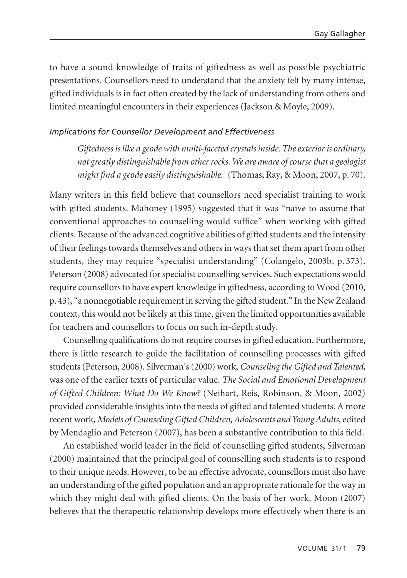to have a sound knowledge of traits of giftedness as well as possible psychiatric presentations. Counsellors need to understand that the anxiety felt by many intense, gifted individuals is in fact often created by the lack of understanding from others and limited meaningful encounters in their experiences (Jackson & Moyle, 2009).

## *Implications for Counsellor Development and Effectiveness*

*Giftedness is like a geode with multi-faceted crystals inside. The exterior is ordinary, not greatly distinguishable from other rocks. We are aware of course that a geologist might find a geode easily distinguishable.* (Thomas, Ray, & Moon, 2007, p. 70).

Many writers in this field believe that counsellors need specialist training to work with gifted students. Mahoney (1995) suggested that it was "naïve to assume that conventional approaches to counselling would suffice" when working with gifted clients. Because of the advanced cognitive abilities of gifted students and the intensity of their feelings towards themselves and others in ways that set them apart from other students, they may require "specialist understanding" (Colangelo, 2003b, p. 373). Peterson (2008) advocated for specialist counselling services. Such expectations would require counsellors to have expert knowledge in giftedness, according to Wood (2010, p. 43), "a nonnegotiable requirement in serving the gifted student." In the New Zealand context, this would not be likely at this time, given the limited opportunities available for teachers and counsellors to focus on such in-depth study.

Counselling qualifications do not require courses in gifted education. Furthermore, there is little research to guide the facilitation of counselling processes with gifted students (Peterson, 2008). Silverman's (2000) work, *Counseling the Gifted and Talented*, was one of the earlier texts of particular value. *The Social and Emotional Development of Gifted Children: What Do We Know?* (Neihart, Reis, Robinson, & Moon, 2002) provided considerable insights into the needs of gifted and talented students. A more recent work, *Models of Counseling Gifted Children, Adolescents and Young Adults*, edited by Mendaglio and Peterson (2007), has been a substantive contribution to this field.

An established world leader in the field of counselling gifted students, Silverman (2000) maintained that the principal goal of counselling such students is to respond to their unique needs. However, to be an effective advocate, counsellors must also have an understanding of the gifted population and an appropriate rationale for the way in which they might deal with gifted clients. On the basis of her work, Moon (2007) believes that the therapeutic relationship develops more effectively when there is an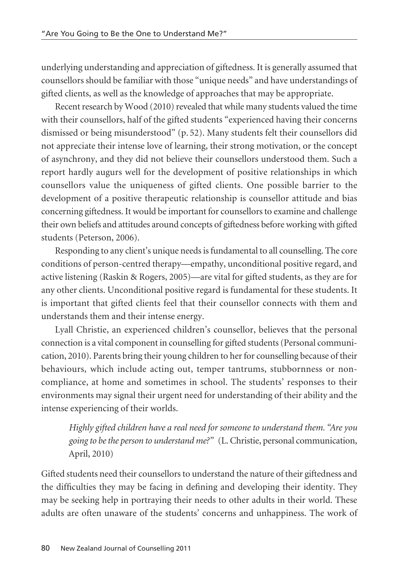underlying understanding and appreciation of giftedness. It is generally assumed that counsellors should be familiar with those "unique needs" and have understandings of gifted clients, as well as the knowledge of approaches that may be appropriate.

Recent research by Wood (2010) revealed that while many students valued the time with their counsellors, half of the gifted students "experienced having their concerns dismissed or being misunderstood" (p. 52). Many students felt their counsellors did not appreciate their intense love of learning, their strong motivation, or the concept of asynchrony, and they did not believe their counsellors understood them. Such a report hardly augurs well for the development of positive relationships in which counsellors value the uniqueness of gifted clients. One possible barrier to the development of a positive therapeutic relationship is counsellor attitude and bias concerning giftedness. It would be important for counsellors to examine and challenge their own beliefs and attitudes around concepts of giftedness before working with gifted students (Peterson, 2006).

Responding to any client's unique needs is fundamental to all counselling. The core conditions of person-centred therapy—empathy, unconditional positive regard, and active listening (Raskin & Rogers, 2005)—are vital for gifted students, as they are for any other clients. Unconditional positive regard is fundamental for these students. It is important that gifted clients feel that their counsellor connects with them and understands them and their intense energy.

Lyall Christie, an experienced children's counsellor, believes that the personal connection is a vital component in counselling for gifted students (Personal communication, 2010). Parents bring their young children to her for counselling because of their behaviours, which include acting out, temper tantrums, stubbornness or noncompliance, at home and sometimes in school. The students' responses to their environments may signal their urgent need for understanding of their ability and the intense experiencing of their worlds.

*Highly gifted children have a real need for someone to understand them. "Are you going to be the person to understand me?"* (L. Christie, personal communication, April, 2010)

Gifted students need their counsellors to understand the nature of their giftedness and the difficulties they may be facing in defining and developing their identity. They may be seeking help in portraying their needs to other adults in their world. These adults are often unaware of the students' concerns and unhappiness. The work of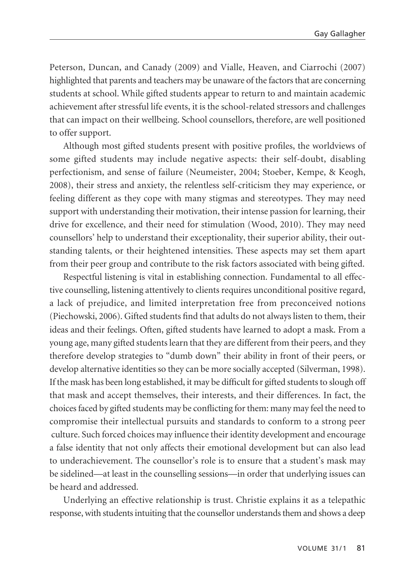Peterson, Duncan, and Canady (2009) and Vialle, Heaven, and Ciarrochi (2007) highlighted that parents and teachers may be unaware of the factors that are concerning students at school. While gifted students appear to return to and maintain academic achievement after stressful life events, it is the school-related stressors and challenges that can impact on their wellbeing. School counsellors, therefore, are well positioned to offer support.

Although most gifted students present with positive profiles, the worldviews of some gifted students may include negative aspects: their self-doubt, disabling perfection ism, and sense of failure (Neumeister, 2004; Stoeber, Kempe, & Keogh, 2008), their stress and anxiety, the relentless self-criticism they may experience, or feeling different as they cope with many stigmas and stereotypes. They may need support with understanding their motivation, their intense passion for learning, their drive for excellence, and their need for stimulation (Wood, 2010). They may need counsellors' help to understand their exceptionality, their superior ability, their out standing talents, or their heightened intensities. These aspects may set them apart from their peer group and contribute to the risk factors associated with being gifted.

Respectful listening is vital in establishing connection. Fundamental to all effective counselling, listening attentively to clients requires unconditional positive regard, a lack of prejudice, and limited interpretation free from preconceived notions (Piechowski, 2006). Gifted students find that adults do not always listen to them, their ideas and their feelings. Often, gifted students have learned to adopt a mask. From a young age, many gifted students learn that they are different from their peers, and they therefore develop strategies to "dumb down" their ability in front of their peers, or develop alternative identities so they can be more socially accepted (Silverman, 1998). If the mask has been long established, it may be difficult for gifted students to slough off that mask and accept themselves, their interests, and their differences. In fact, the choices faced by gifted students may be conflicting for them: many may feel the need to compromise their intellectual pursuits and standards to conform to a strong peer culture. Such forced choices may influence their identity development and encourage a false identity that not only affects their emotional development but can also lead to underachievement. The counsellor's role is to ensure that a student's mask may be sidelined—at least in the counselling sessions—in order that underlying issues can be heard and addressed.

Underlying an effective relationship is trust. Christie explains it as a telepathic response, with students intuiting that the counsellor understands them and shows a deep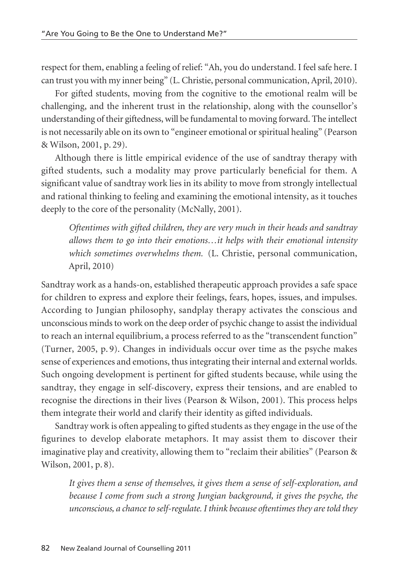respect for them, enabling a feeling of relief: "Ah, you do understand. I feel safe here. I can trust you with my inner being" (L. Christie, personal communication, April, 2010).

For gifted students, moving from the cognitive to the emotional realm will be challenging, and the inherent trust in the relationship, along with the counsellor's understanding of their giftedness, will be fundamental to moving forward. The intellect is not necessarily able on its own to "engineer emotional or spiritual healing" (Pearson & Wilson, 2001, p. 29).

Although there is little empirical evidence of the use of sandtray therapy with gifted students, such a modality may prove particularly beneficial for them. A significant value of sandtray work lies in its ability to move from strongly intellectual and rational thinking to feeling and examining the emotional intensity, as it touches deeply to the core of the personality (McNally, 2001).

*Oftentimes with gifted children, they are very much in their heads and sandtray allows them to go into their emotions…it helps with their emotional intensity which sometimes overwhelms them.* (L. Christie, personal communication, April, 2010)

Sandtray work as a hands-on, established therapeutic approach provides a safe space for children to express and explore their feelings, fears, hopes, issues, and impulses. According to Jungian philosophy, sandplay therapy activates the conscious and unconscious minds to work on the deep order of psychic change to assist the individual to reach an internal equilibrium, a process referred to as the "transcendent function" (Turner, 2005, p. 9). Changes in individuals occur over time as the psyche makes sense of experiences and emotions, thus integrating their internal and external worlds. Such ongoing development is pertinent for gifted students because, while using the sandtray, they engage in self-discovery, express their tensions, and are enabled to recognise the directions in their lives (Pearson & Wilson, 2001). This process helps them integrate their world and clarify their identity as gifted individuals.

Sandtray work is often appealing to gifted students as they engage in the use of the figurines to develop elaborate metaphors. It may assist them to discover their imaginative play and creativity, allowing them to "reclaim their abilities" (Pearson & Wilson, 2001, p. 8).

*It gives them a sense of themselves, it gives them a sense of self-exploration, and because I come from such a strong Jungian background, it gives the psyche, the unconscious, a chance to self-regulate. I think because oftentimes they are told they*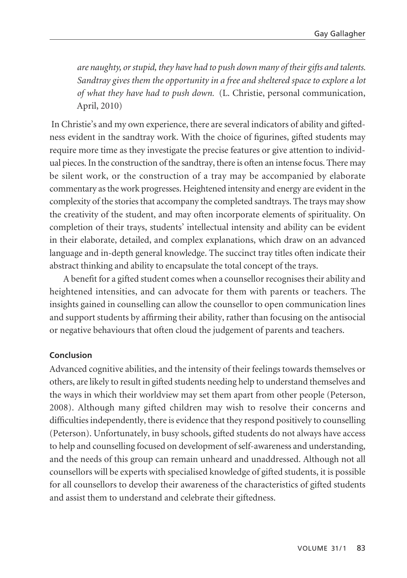*are naughty, or stupid, they have had to push down many of their gifts and talents. Sandtray gives them the opportunity in a free and sheltered space to explore a lot of what they have had to push down.* (L. Christie, personal communication, April, 2010)

In Christie's and my own experience, there are several indicators of ability and giftedness evident in the sandtray work. With the choice of figurines, gifted students may require more time as they investigate the precise features or give attention to individual pieces. In the construction of the sandtray, there is often an intense focus. There may be silent work, or the construction of a tray may be accompanied by elaborate commentary as the work progresses. Heightened intensity and energy are evident in the complexity of the stories that accompany the completed sandtrays. The trays may show the creativity of the student, and may often incorporate elements of spirituality. On completion of their trays, students' intellectual intensity and ability can be evident in their elaborate, detailed, and complex explanations, which draw on an advanced language and in-depth general knowledge. The succinct tray titles often indicate their abstract thinking and ability to encapsulate the total concept of the trays.

A benefit for a gifted student comes when a counsellor recognises their ability and heightened intensities, and can advocate for them with parents or teachers. The insights gained in counselling can allow the counsellor to open communication lines and support students by affirming their ability, rather than focusing on the antisocial or negative behaviours that often cloud the judgement of parents and teachers.

#### **Conclusion**

Advanced cognitive abilities, and the intensity of their feelings towards themselves or others, are likely to result in gifted students needing help to understand themselves and the ways in which their worldview may set them apart from other people (Peterson, 2008). Although many gifted children may wish to resolve their concerns and difficulties independently, there is evidence that they respond positively to counselling (Peterson). Unfortunately, in busy schools, gifted students do not always have access to help and counselling focused on development of self-awareness and understanding, and the needs of this group can remain unheard and unaddressed. Although not all counsellors will be experts with specialised knowledge of gifted students, it is possible for all counsellors to develop their awareness of the characteristics of gifted students and assist them to understand and celebrate their giftedness.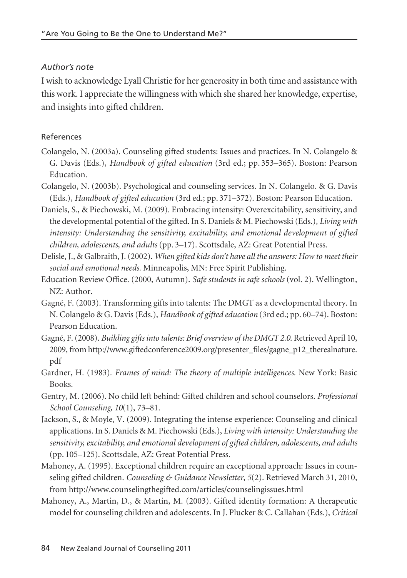## *Author's note*

I wish to acknowledge Lyall Christie for her generosity in both time and assistance with this work. I appreciate the willingness with which she shared her knowledge, expertise, and insights into gifted children.

## References

- Colangelo, N. (2003a). Counseling gifted students: Issues and practices. In N. Colangelo & G. Davis (Eds.), *Handbook of gifted education* (3rd ed.; pp. 353–365). Boston: Pearson Education.
- Colangelo, N. (2003b). Psychological and counseling services. In N. Colangelo. & G. Davis (Eds.), *Handbook of gifted education* (3rd ed.; pp. 371–372). Boston: Pearson Education.
- Daniels, S., & Piechowski, M. (2009). Embracing intensity: Overexcitability, sensitivity, and the developmental potential of the gifted. In S. Daniels & M. Piechowski (Eds.), *Living with intensity: Understanding the sensitivity, excitability, and emotional development of gifted children, adolescents, and adults* (pp. 3–17). Scottsdale, AZ: Great Potential Press.
- Delisle, J., & Galbraith, J. (2002). *When gifted kids don't have all the answers: How to meet their social and emotional needs.* Minneapolis, MN: Free Spirit Publishing.
- Education Review Office. (2000, Autumn). *Safe students in safe schools* (vol. 2). Wellington, NZ: Author.
- Gagné, F. (2003). Transforming gifts into talents: The DMGT as a developmental theory. In N. Colangelo & G. Davis (Eds.), *Handbook of gifted education* (3rd ed.; pp. 60–74). Boston: Pearson Education.
- Gagné, F. (2008). *Building gifts into talents: Brief overview of the DMGT 2.0*. Retrieved April 10, 2009, from http://www.giftedconference2009.org/presenter\_files/gagne\_p12\_therealnature. pdf
- Gardner, H. (1983). *Frames of mind: The theory of multiple intelligences*. New York: Basic Books.
- Gentry, M. (2006). No child left behind: Gifted children and school counselors. *Professional School Counseling, 10*(1), 73–81.
- Jackson, S., & Moyle, V. (2009). Integrating the intense experience: Counseling and clinical applications. In S. Daniels & M. Piechowski (Eds.), *Living with intensity: Understanding the sensitivity, excitability, and emotional development of gifted children, adolescents, and adults* (pp. 105–125). Scottsdale, AZ: Great Potential Press.
- Mahoney, A. (1995). Exceptional children require an exceptional approach: Issues in counseling gifted children. *Counseling & Guidance Newsletter*, *5*(2). Retrieved March 31, 2010, from http://www.counselingthegifted.com/articles/counselingissues.html
- Mahoney, A., Martin, D., & Martin, M. (2003). Gifted identity formation: A therapeutic model for counseling children and adolescents. In J. Plucker & C. Callahan (Eds.), *Critical*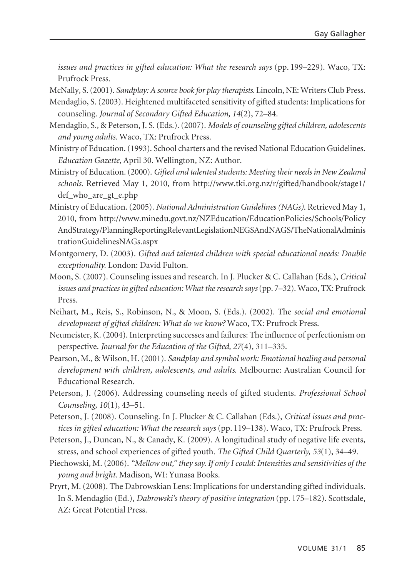*issues and practices in gifted education: What the research says* (pp. 199–229). Waco, TX: Prufrock Press.

McNally, S. (2001). *Sandplay: A source book for play therapists.* Lincoln, NE: Writers Club Press.

- Mendaglio, S. (2003). Heightened multifaceted sensitivity of gifted students: Implications for counseling. *Journal of Secondary Gifted Education, 14*(2), 72–84.
- Mendaglio, S., & Peterson, J. S. (Eds.). (2007). *Models of counseling gifted children, adolescents and young adults.* Waco, TX: Prufrock Press.
- Ministry of Education. (1993). School charters and the revised National Education Guidelines. *Education Gazette,* April 30. Wellington, NZ: Author.
- Ministry of Education. (2000). *Gifted and talented students: Meeting their needs in New Zealand schools*. Retrieved May 1, 2010, from http://www.tki.org.nz/r/gifted/handbook/stage1/ def\_who\_are\_gt\_e.php
- Ministry of Education. (2005). *National Administration Guidelines (NAGs)*. Retrieved May 1, 2010, from http://www.minedu.govt.nz/NZEducation/EducationPolicies/Schools/Policy AndStrategy/PlanningReportingRelevantLegislationNEGSAndNAGS/TheNationalAdminis trationGuidelinesNAGs.aspx
- Montgomery, D. (2003). *Gifted and talented children with special educational needs: Double exceptionality.* London: David Fulton.
- Moon, S. (2007). Counseling issues and research. In J. Plucker & C. Callahan (Eds.), *Critical issues and practices in gifted education: What the research says*(pp. 7–32). Waco, TX: Prufrock Press.
- Neihart, M., Reis, S., Robinson, N., & Moon, S. (Eds.). (2002). The *social and emotional development of gifted children: What do we know?* Waco, TX: Prufrock Press.
- Neumeister, K. (2004). Interpreting successes and failures: The influence of perfectionism on perspective. *Journal for the Education of the Gifted, 27*(4), 311–335.
- Pearson, M., & Wilson, H. (2001). *Sandplay and symbol work: Emotional healing and personal development with children, adolescents, and adults.* Melbourne: Australian Council for Educational Research.
- Peterson, J. (2006). Addressing counseling needs of gifted students. *Professional School Counseling, 10*(1), 43–51.
- Peterson, J. (2008). Counseling. In J. Plucker & C. Callahan (Eds.), *Critical issues and practices in gifted education: What the research says* (pp. 119–138). Waco, TX: Prufrock Press.
- Peterson, J., Duncan, N., & Canady, K. (2009). A longitudinal study of negative life events, stress, and school experiences of gifted youth. *The Gifted Child Quarterly, 53*(1), 34–49.
- Piechowski, M. (2006). *"Mellow out," they say. If only I could: Intensities and sensitivities of the young and bright.* Madison, WI: Yunasa Books.
- Pryrt, M. (2008). The Dabrowskian Lens: Implications for understanding gifted individuals. In S. Mendaglio (Ed.), *Dabrowski's theory of positive integration* (pp. 175–182). Scottsdale, AZ: Great Potential Press.